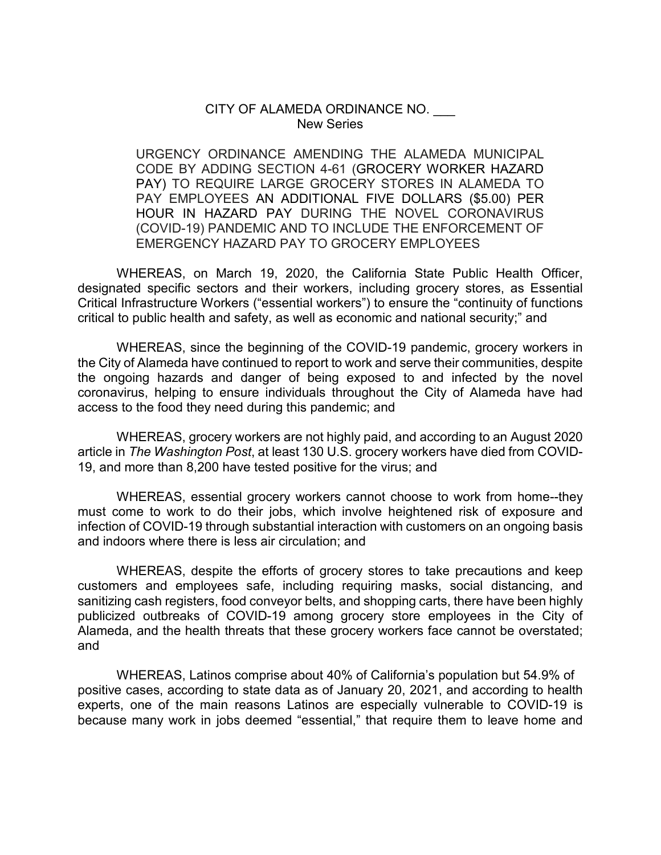#### CITY OF ALAMEDA ORDINANCE NO. New Series

URGENCY ORDINANCE AMENDING THE ALAMEDA MUNICIPAL CODE BY ADDING SECTION 4-61 (GROCERY WORKER HAZARD PAY) TO REQUIRE LARGE GROCERY STORES IN ALAMEDA TO PAY EMPLOYEES AN ADDITIONAL FIVE DOLLARS (\$5.00) PER HOUR IN HAZARD PAY DURING THE NOVEL CORONAVIRUS (COVID-19) PANDEMIC AND TO INCLUDE THE ENFORCEMENT OF EMERGENCY HAZARD PAY TO GROCERY EMPLOYEES

WHEREAS, on March 19, 2020, the California State Public Health Officer, designated specific sectors and their workers, including grocery stores, as Essential Critical Infrastructure Workers ("essential workers") to ensure the "continuity of functions critical to public health and safety, as well as economic and national security;" and

WHEREAS, since the beginning of the COVID-19 pandemic, grocery workers in the City of Alameda have continued to report to work and serve their communities, despite the ongoing hazards and danger of being exposed to and infected by the novel coronavirus, helping to ensure individuals throughout the City of Alameda have had access to the food they need during this pandemic; and

WHEREAS, grocery workers are not highly paid, and according to an August 2020 article in *The Washington Post*, at least 130 U.S. grocery workers have died from COVID-19, and more than 8,200 have tested positive for the virus; and

WHEREAS, essential grocery workers cannot choose to work from home--they must come to work to do their jobs, which involve heightened risk of exposure and infection of COVID-19 through substantial interaction with customers on an ongoing basis and indoors where there is less air circulation; and

WHEREAS, despite the efforts of grocery stores to take precautions and keep customers and employees safe, including requiring masks, social distancing, and sanitizing cash registers, food conveyor belts, and shopping carts, there have been highly publicized outbreaks of COVID-19 among grocery store employees in the City of Alameda, and the health threats that these grocery workers face cannot be overstated; and

WHEREAS, Latinos comprise about 40% of California's population but 54.9% of positive cases, according to state data as of January 20, 2021, and according to health experts, one of the main reasons Latinos are especially vulnerable to COVID-19 is because many work in jobs deemed "essential," that require them to leave home and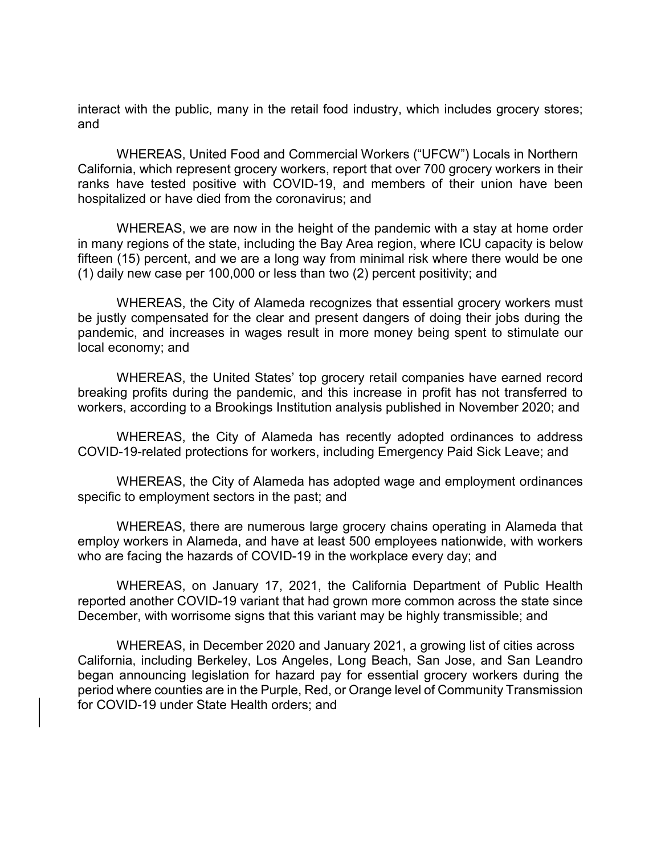interact with the public, many in the retail food industry, which includes grocery stores; and

WHEREAS, United Food and Commercial Workers ("UFCW") Locals in Northern California, which represent grocery workers, report that over 700 grocery workers in their ranks have tested positive with COVID-19, and members of their union have been hospitalized or have died from the coronavirus; and

WHEREAS, we are now in the height of the pandemic with a stay at home order in many regions of the state, including the Bay Area region, where ICU capacity is below fifteen (15) percent, and we are a long way from minimal risk where there would be one (1) daily new case per 100,000 or less than two (2) percent positivity; and

WHEREAS, the City of Alameda recognizes that essential grocery workers must be justly compensated for the clear and present dangers of doing their jobs during the pandemic, and increases in wages result in more money being spent to stimulate our local economy; and

WHEREAS, the United States' top grocery retail companies have earned record breaking profits during the pandemic, and this increase in profit has not transferred to workers, according to a Brookings Institution analysis published in November 2020; and

WHEREAS, the City of Alameda has recently adopted ordinances to address COVID-19-related protections for workers, including Emergency Paid Sick Leave; and

WHEREAS, the City of Alameda has adopted wage and employment ordinances specific to employment sectors in the past; and

WHEREAS, there are numerous large grocery chains operating in Alameda that employ workers in Alameda, and have at least 500 employees nationwide, with workers who are facing the hazards of COVID-19 in the workplace every day; and

WHEREAS, on January 17, 2021, the California Department of Public Health reported another COVID-19 variant that had grown more common across the state since December, with worrisome signs that this variant may be highly transmissible; and

WHEREAS, in December 2020 and January 2021, a growing list of cities across California, including Berkeley, Los Angeles, Long Beach, San Jose, and San Leandro began announcing legislation for hazard pay for essential grocery workers during the period where counties are in the Purple, Red, or Orange level of Community Transmission for COVID-19 under State Health orders; and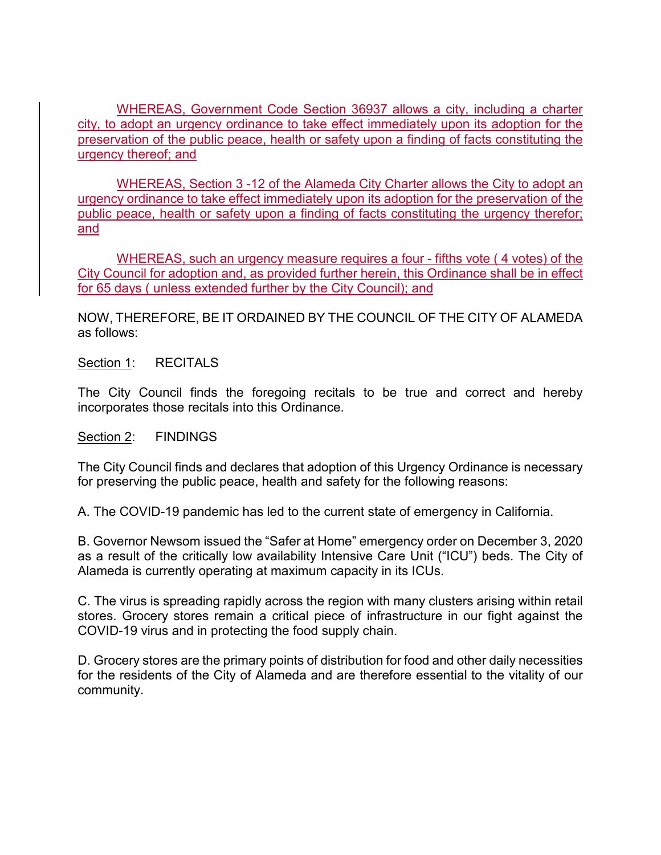WHEREAS, Government Code Section 36937 allows a city, including a charter city, to adopt an urgency ordinance to take effect immediately upon its adoption for the preservation of the public peace, health or safety upon a finding of facts constituting the urgency thereof; and

WHEREAS, Section 3 -12 of the Alameda City Charter allows the City to adopt an urgency ordinance to take effect immediately upon its adoption for the preservation of the public peace, health or safety upon a finding of facts constituting the urgency therefor; and

WHEREAS, such an urgency measure requires a four - fifths vote ( 4 votes) of the City Council for adoption and, as provided further herein, this Ordinance shall be in effect for 65 days ( unless extended further by the City Council); and

NOW, THEREFORE, BE IT ORDAINED BY THE COUNCIL OF THE CITY OF ALAMEDA as follows:

Section 1: RECITALS

The City Council finds the foregoing recitals to be true and correct and hereby incorporates those recitals into this Ordinance.

Section 2: FINDINGS

The City Council finds and declares that adoption of this Urgency Ordinance is necessary for preserving the public peace, health and safety for the following reasons:

A. The COVID-19 pandemic has led to the current state of emergency in California.

B. Governor Newsom issued the "Safer at Home" emergency order on December 3, 2020 as a result of the critically low availability Intensive Care Unit ("ICU") beds. The City of Alameda is currently operating at maximum capacity in its ICUs.

C. The virus is spreading rapidly across the region with many clusters arising within retail stores. Grocery stores remain a critical piece of infrastructure in our fight against the COVID-19 virus and in protecting the food supply chain.

D. Grocery stores are the primary points of distribution for food and other daily necessities for the residents of the City of Alameda and are therefore essential to the vitality of our community.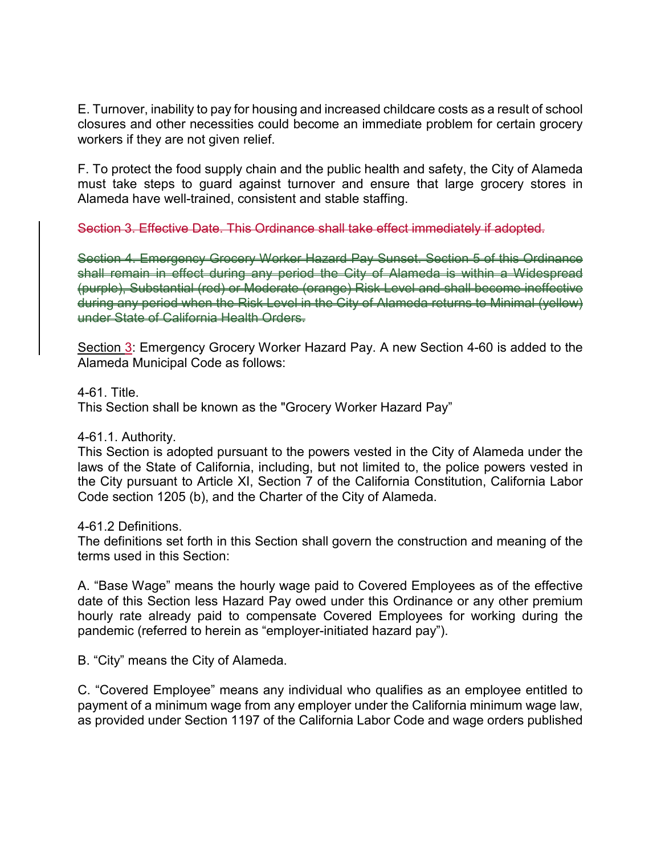E. Turnover, inability to pay for housing and increased childcare costs as a result of school closures and other necessities could become an immediate problem for certain grocery workers if they are not given relief.

F. To protect the food supply chain and the public health and safety, the City of Alameda must take steps to guard against turnover and ensure that large grocery stores in Alameda have well-trained, consistent and stable staffing.

Section 3. Effective Date. This Ordinance shall take effect immediately if adopted.

Section 4. Emergency Grocery Worker Hazard Pay Sunset. Section 5 of this Ordinance shall remain in effect during any period the City of Alameda is within a Widespread (purple), Substantial (red) or Moderate (orange) Risk Level and shall become ineffective during any period when the Risk Level in the City of Alameda returns to Minimal (yellow) under State of California Health Orders.

Section 3: Emergency Grocery Worker Hazard Pay. A new Section 4-60 is added to the Alameda Municipal Code as follows:

### 4-61. Title.

This Section shall be known as the "Grocery Worker Hazard Pay"

### 4-61.1. Authority.

This Section is adopted pursuant to the powers vested in the City of Alameda under the laws of the State of California, including, but not limited to, the police powers vested in the City pursuant to Article XI, Section 7 of the California Constitution, California Labor Code section 1205 (b), and the Charter of the City of Alameda.

### 4-61.2 Definitions.

The definitions set forth in this Section shall govern the construction and meaning of the terms used in this Section:

A. "Base Wage" means the hourly wage paid to Covered Employees as of the effective date of this Section less Hazard Pay owed under this Ordinance or any other premium hourly rate already paid to compensate Covered Employees for working during the pandemic (referred to herein as "employer-initiated hazard pay").

B. "City" means the City of Alameda.

C. "Covered Employee" means any individual who qualifies as an employee entitled to payment of a minimum wage from any employer under the California minimum wage law, as provided under Section 1197 of the California Labor Code and wage orders published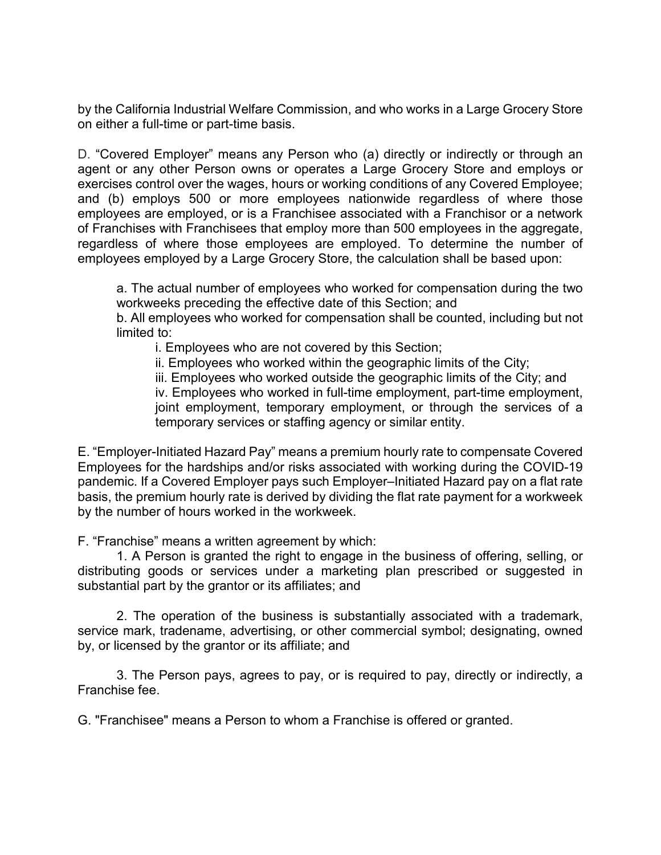by the California Industrial Welfare Commission, and who works in a Large Grocery Store on either a full-time or part-time basis.

D. "Covered Employer" means any Person who (a) directly or indirectly or through an agent or any other Person owns or operates a Large Grocery Store and employs or exercises control over the wages, hours or working conditions of any Covered Employee; and (b) employs 500 or more employees nationwide regardless of where those employees are employed, or is a Franchisee associated with a Franchisor or a network of Franchises with Franchisees that employ more than 500 employees in the aggregate, regardless of where those employees are employed. To determine the number of employees employed by a Large Grocery Store, the calculation shall be based upon:

a. The actual number of employees who worked for compensation during the two workweeks preceding the effective date of this Section; and

b. All employees who worked for compensation shall be counted, including but not limited to:

i. Employees who are not covered by this Section;

ii. Employees who worked within the geographic limits of the City;

iii. Employees who worked outside the geographic limits of the City; and iv. Employees who worked in full-time employment, part-time employment, joint employment, temporary employment, or through the services of a

temporary services or staffing agency or similar entity.

E. "Employer-Initiated Hazard Pay" means a premium hourly rate to compensate Covered Employees for the hardships and/or risks associated with working during the COVID-19 pandemic. If a Covered Employer pays such Employer–Initiated Hazard pay on a flat rate basis, the premium hourly rate is derived by dividing the flat rate payment for a workweek by the number of hours worked in the workweek.

F. "Franchise" means a written agreement by which:

1. A Person is granted the right to engage in the business of offering, selling, or distributing goods or services under a marketing plan prescribed or suggested in substantial part by the grantor or its affiliates; and

2. The operation of the business is substantially associated with a trademark, service mark, tradename, advertising, or other commercial symbol; designating, owned by, or licensed by the grantor or its affiliate; and

3. The Person pays, agrees to pay, or is required to pay, directly or indirectly, a Franchise fee.

G. "Franchisee" means a Person to whom a Franchise is offered or granted.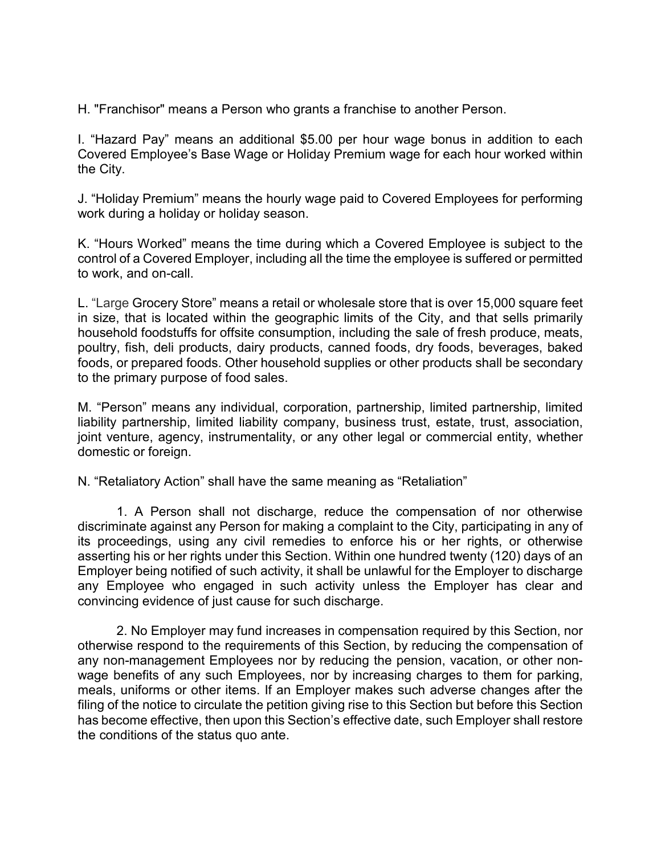H. "Franchisor" means a Person who grants a franchise to another Person.

I. "Hazard Pay" means an additional \$5.00 per hour wage bonus in addition to each Covered Employee's Base Wage or Holiday Premium wage for each hour worked within the City.

J. "Holiday Premium" means the hourly wage paid to Covered Employees for performing work during a holiday or holiday season.

K. "Hours Worked" means the time during which a Covered Employee is subject to the control of a Covered Employer, including all the time the employee is suffered or permitted to work, and on-call.

L. "Large Grocery Store" means a retail or wholesale store that is over 15,000 square feet in size, that is located within the geographic limits of the City, and that sells primarily household foodstuffs for offsite consumption, including the sale of fresh produce, meats, poultry, fish, deli products, dairy products, canned foods, dry foods, beverages, baked foods, or prepared foods. Other household supplies or other products shall be secondary to the primary purpose of food sales.

M. "Person" means any individual, corporation, partnership, limited partnership, limited liability partnership, limited liability company, business trust, estate, trust, association, joint venture, agency, instrumentality, or any other legal or commercial entity, whether domestic or foreign.

N. "Retaliatory Action" shall have the same meaning as "Retaliation"

1. A Person shall not discharge, reduce the compensation of nor otherwise discriminate against any Person for making a complaint to the City, participating in any of its proceedings, using any civil remedies to enforce his or her rights, or otherwise asserting his or her rights under this Section. Within one hundred twenty (120) days of an Employer being notified of such activity, it shall be unlawful for the Employer to discharge any Employee who engaged in such activity unless the Employer has clear and convincing evidence of just cause for such discharge.

2. No Employer may fund increases in compensation required by this Section, nor otherwise respond to the requirements of this Section, by reducing the compensation of any non-management Employees nor by reducing the pension, vacation, or other nonwage benefits of any such Employees, nor by increasing charges to them for parking, meals, uniforms or other items. If an Employer makes such adverse changes after the filing of the notice to circulate the petition giving rise to this Section but before this Section has become effective, then upon this Section's effective date, such Employer shall restore the conditions of the status quo ante.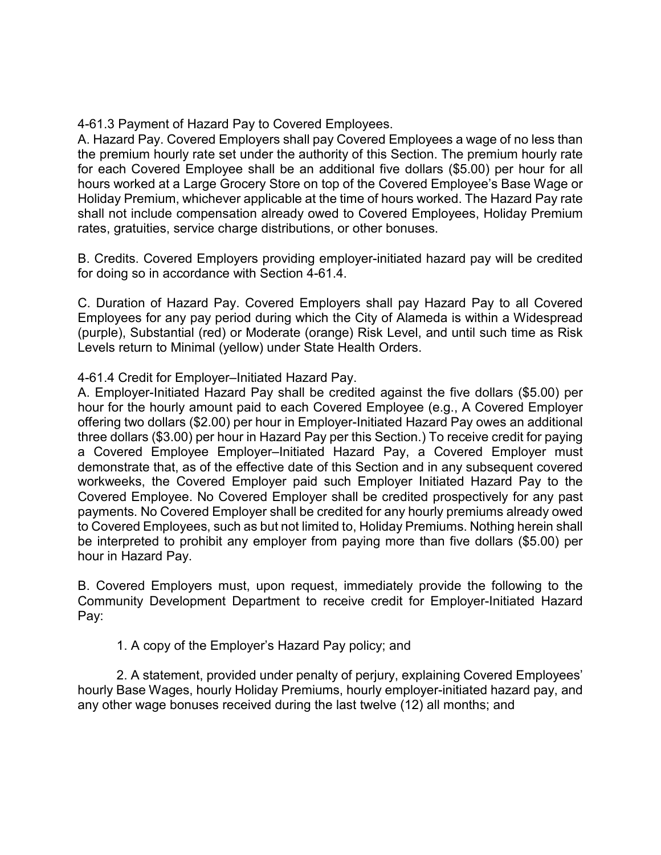4-61.3 Payment of Hazard Pay to Covered Employees.

A. Hazard Pay. Covered Employers shall pay Covered Employees a wage of no less than the premium hourly rate set under the authority of this Section. The premium hourly rate for each Covered Employee shall be an additional five dollars (\$5.00) per hour for all hours worked at a Large Grocery Store on top of the Covered Employee's Base Wage or Holiday Premium, whichever applicable at the time of hours worked. The Hazard Pay rate shall not include compensation already owed to Covered Employees, Holiday Premium rates, gratuities, service charge distributions, or other bonuses.

B. Credits. Covered Employers providing employer-initiated hazard pay will be credited for doing so in accordance with Section 4-61.4.

C. Duration of Hazard Pay. Covered Employers shall pay Hazard Pay to all Covered Employees for any pay period during which the City of Alameda is within a Widespread (purple), Substantial (red) or Moderate (orange) Risk Level, and until such time as Risk Levels return to Minimal (yellow) under State Health Orders.

4-61.4 Credit for Employer–Initiated Hazard Pay.

A. Employer-Initiated Hazard Pay shall be credited against the five dollars (\$5.00) per hour for the hourly amount paid to each Covered Employee (e.g., A Covered Employer offering two dollars (\$2.00) per hour in Employer-Initiated Hazard Pay owes an additional three dollars (\$3.00) per hour in Hazard Pay per this Section.) To receive credit for paying a Covered Employee Employer–Initiated Hazard Pay, a Covered Employer must demonstrate that, as of the effective date of this Section and in any subsequent covered workweeks, the Covered Employer paid such Employer Initiated Hazard Pay to the Covered Employee. No Covered Employer shall be credited prospectively for any past payments. No Covered Employer shall be credited for any hourly premiums already owed to Covered Employees, such as but not limited to, Holiday Premiums. Nothing herein shall be interpreted to prohibit any employer from paying more than five dollars (\$5.00) per hour in Hazard Pay.

B. Covered Employers must, upon request, immediately provide the following to the Community Development Department to receive credit for Employer-Initiated Hazard Pay:

1. A copy of the Employer's Hazard Pay policy; and

2. A statement, provided under penalty of perjury, explaining Covered Employees' hourly Base Wages, hourly Holiday Premiums, hourly employer-initiated hazard pay, and any other wage bonuses received during the last twelve (12) all months; and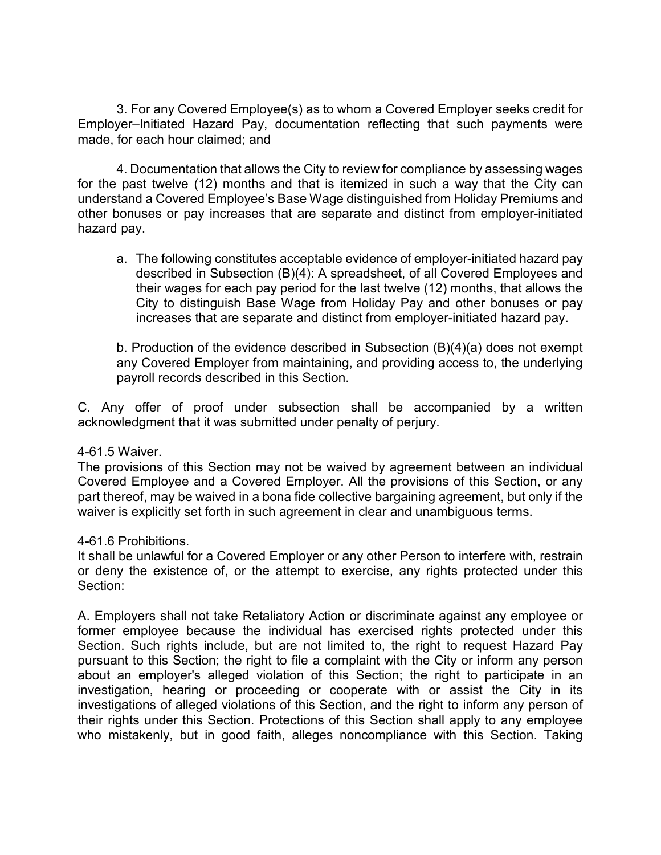3. For any Covered Employee(s) as to whom a Covered Employer seeks credit for Employer–Initiated Hazard Pay, documentation reflecting that such payments were made, for each hour claimed; and

4. Documentation that allows the City to review for compliance by assessing wages for the past twelve (12) months and that is itemized in such a way that the City can understand a Covered Employee's Base Wage distinguished from Holiday Premiums and other bonuses or pay increases that are separate and distinct from employer-initiated hazard pay.

a. The following constitutes acceptable evidence of employer-initiated hazard pay described in Subsection (B)(4): A spreadsheet, of all Covered Employees and their wages for each pay period for the last twelve (12) months, that allows the City to distinguish Base Wage from Holiday Pay and other bonuses or pay increases that are separate and distinct from employer-initiated hazard pay.

b. Production of the evidence described in Subsection (B)(4)(a) does not exempt any Covered Employer from maintaining, and providing access to, the underlying payroll records described in this Section.

C. Any offer of proof under subsection shall be accompanied by a written acknowledgment that it was submitted under penalty of perjury.

### 4-61.5 Waiver.

The provisions of this Section may not be waived by agreement between an individual Covered Employee and a Covered Employer. All the provisions of this Section, or any part thereof, may be waived in a bona fide collective bargaining agreement, but only if the waiver is explicitly set forth in such agreement in clear and unambiguous terms.

# 4-61.6 Prohibitions.

It shall be unlawful for a Covered Employer or any other Person to interfere with, restrain or deny the existence of, or the attempt to exercise, any rights protected under this Section:

A. Employers shall not take Retaliatory Action or discriminate against any employee or former employee because the individual has exercised rights protected under this Section. Such rights include, but are not limited to, the right to request Hazard Pay pursuant to this Section; the right to file a complaint with the City or inform any person about an employer's alleged violation of this Section; the right to participate in an investigation, hearing or proceeding or cooperate with or assist the City in its investigations of alleged violations of this Section, and the right to inform any person of their rights under this Section. Protections of this Section shall apply to any employee who mistakenly, but in good faith, alleges noncompliance with this Section. Taking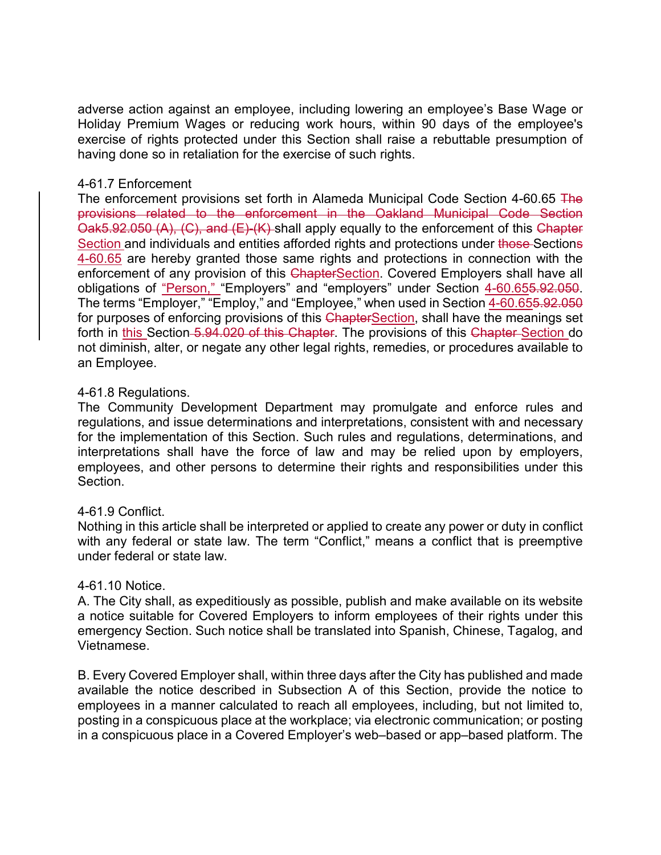adverse action against an employee, including lowering an employee's Base Wage or Holiday Premium Wages or reducing work hours, within 90 days of the employee's exercise of rights protected under this Section shall raise a rebuttable presumption of having done so in retaliation for the exercise of such rights.

## 4-61.7 Enforcement

The enforcement provisions set forth in Alameda Municipal Code Section 4-60.65 The provisions related to the enforcement in the Oakland Municipal Code Section Oak5.92.050 (A), (C), and (E)-(K) shall apply equally to the enforcement of this Chapter Section and individuals and entities afforded rights and protections under those Sections 4-60.65 are hereby granted those same rights and protections in connection with the enforcement of any provision of this ChapterSection. Covered Employers shall have all obligations of "Person," "Employers" and "employers" under Section 4-60.655.92.050. The terms "Employer," "Employ," and "Employee," when used in Section 4-60.655.92.050 for purposes of enforcing provisions of this ChapterSection, shall have the meanings set forth in this Section 5.94.020 of this Chapter. The provisions of this Chapter-Section do not diminish, alter, or negate any other legal rights, remedies, or procedures available to an Employee.

## 4-61.8 Regulations.

The Community Development Department may promulgate and enforce rules and regulations, and issue determinations and interpretations, consistent with and necessary for the implementation of this Section. Such rules and regulations, determinations, and interpretations shall have the force of law and may be relied upon by employers, employees, and other persons to determine their rights and responsibilities under this Section.

### 4-61.9 Conflict.

Nothing in this article shall be interpreted or applied to create any power or duty in conflict with any federal or state law. The term "Conflict," means a conflict that is preemptive under federal or state law.

# 4-61.10 Notice.

A. The City shall, as expeditiously as possible, publish and make available on its website a notice suitable for Covered Employers to inform employees of their rights under this emergency Section. Such notice shall be translated into Spanish, Chinese, Tagalog, and Vietnamese.

B. Every Covered Employer shall, within three days after the City has published and made available the notice described in Subsection A of this Section, provide the notice to employees in a manner calculated to reach all employees, including, but not limited to, posting in a conspicuous place at the workplace; via electronic communication; or posting in a conspicuous place in a Covered Employer's web–based or app–based platform. The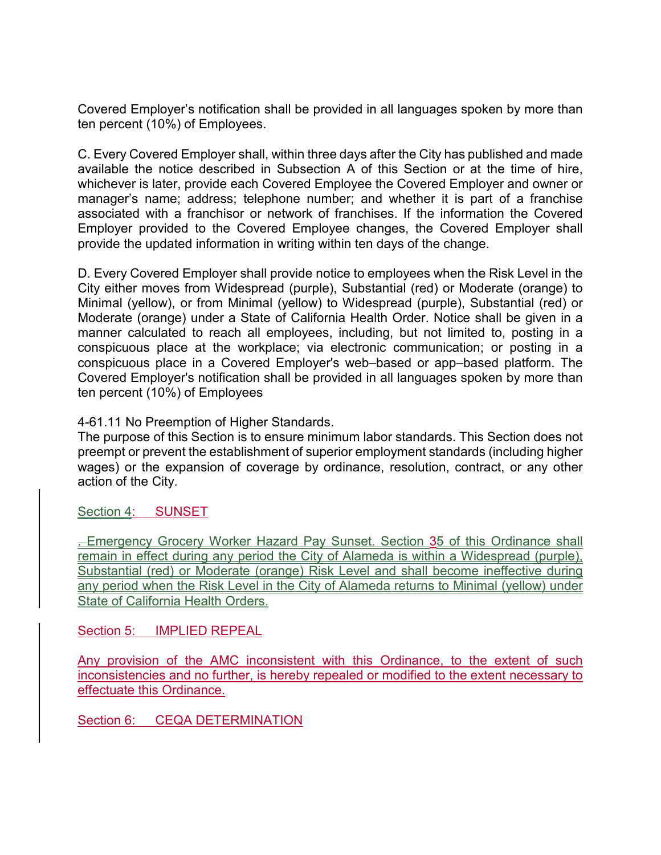Covered Employer's notification shall be provided in all languages spoken by more than ten percent (10%) of Employees.

C. Every Covered Employer shall, within three days after the City has published and made available the notice described in Subsection A of this Section or at the time of hire, whichever is later, provide each Covered Employee the Covered Employer and owner or manager's name; address; telephone number; and whether it is part of a franchise associated with a franchisor or network of franchises. If the information the Covered Employer provided to the Covered Employee changes, the Covered Employer shall provide the updated information in writing within ten days of the change.

D. Every Covered Employer shall provide notice to employees when the Risk Level in the City either moves from Widespread (purple), Substantial (red) or Moderate (orange) to Minimal (yellow), or from Minimal (yellow) to Widespread (purple), Substantial (red) or Moderate (orange) under a State of California Health Order. Notice shall be given in a manner calculated to reach all employees, including, but not limited to, posting in a conspicuous place at the workplace; via electronic communication; or posting in a conspicuous place in a Covered Employer's web–based or app–based platform. The Covered Employer's notification shall be provided in all languages spoken by more than ten percent (10%) of Employees

4-61.11 No Preemption of Higher Standards.

The purpose of this Section is to ensure minimum labor standards. This Section does not preempt or prevent the establishment of superior employment standards (including higher wages) or the expansion of coverage by ordinance, resolution, contract, or any other action of the City.

Section 4: SUNSET

**Emergency Grocery Worker Hazard Pay Sunset. Section 35 of this Ordinance shall** remain in effect during any period the City of Alameda is within a Widespread (purple), Substantial (red) or Moderate (orange) Risk Level and shall become ineffective during any period when the Risk Level in the City of Alameda returns to Minimal (yellow) under State of California Health Orders.

Section 5: **IMPLIED REPEAL** 

Any provision of the AMC inconsistent with this Ordinance, to the extent of such inconsistencies and no further, is hereby repealed or modified to the extent necessary to effectuate this Ordinance.

Section 6: CEQA DETERMINATION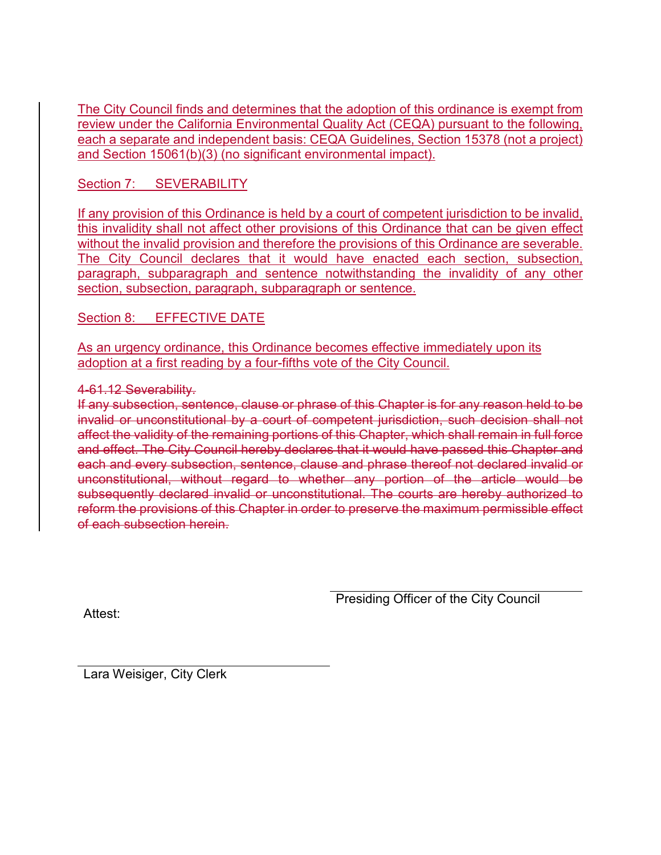The City Council finds and determines that the adoption of this ordinance is exempt from review under the California Environmental Quality Act (CEQA) pursuant to the following, each a separate and independent basis: CEQA Guidelines, Section 15378 (not a project) and Section 15061(b)(3) (no significant environmental impact).

Section 7: SEVERABILITY

If any provision of this Ordinance is held by a court of competent jurisdiction to be invalid, this invalidity shall not affect other provisions of this Ordinance that can be given effect without the invalid provision and therefore the provisions of this Ordinance are severable. The City Council declares that it would have enacted each section, subsection, paragraph, subparagraph and sentence notwithstanding the invalidity of any other section, subsection, paragraph, subparagraph or sentence.

Section 8: EFFECTIVE DATE

As an urgency ordinance, this Ordinance becomes effective immediately upon its adoption at a first reading by a four-fifths vote of the City Council.

## 4-61.12 Severability.

If any subsection, sentence, clause or phrase of this Chapter is for any reason held to be invalid or unconstitutional by a court of competent jurisdiction, such decision shall not affect the validity of the remaining portions of this Chapter, which shall remain in full force and effect. The City Council hereby declares that it would have passed this Chapter and each and every subsection, sentence, clause and phrase thereof not declared invalid or unconstitutional, without regard to whether any portion of the article would be subsequently declared invalid or unconstitutional. The courts are hereby authorized to reform the provisions of this Chapter in order to preserve the maximum permissible effect of each subsection herein.

Presiding Officer of the City Council

Attest:

Lara Weisiger, City Clerk